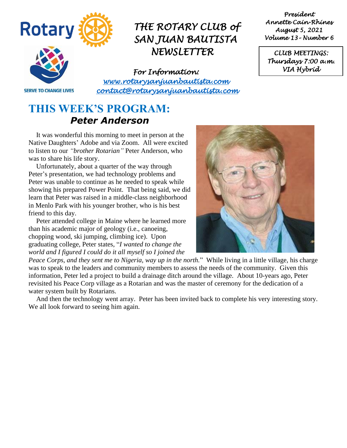

*President Annette Cain-Rhines August 5, 2021 Volume 13– Number 6* 

*CLUB MEETINGS: Thursdays 7:00 a.m. VIA Hybrid* 

**SERVE TO CHANGE LIVES** 

*For Information: [www.rotarysanjuanbautista.com](http://www.rotarysanjuanbautista.com/)  contact@rotarysanjuanbautista.com* 

### **THIS WEEK'S PROGRAM:**  *Peter Anderson*

It was wonderful this morning to meet in person at the Native Daughters' Adobe and via Zoom. All were excited to listen to our *"brother Rotarian"* Peter Anderson, who was to share his life story.

Unfortunately, about a quarter of the way through Peter's presentation, we had technology problems and Peter was unable to continue as he needed to speak while showing his prepared Power Point. That being said, we did learn that Peter was raised in a middle-class neighborhood in Menlo Park with his younger brother, who is his best friend to this day.

Peter attended college in Maine where he learned more than his academic major of geology (i.e., canoeing, chopping wood, ski jumping, climbing ice). Upon graduating college, Peter states, "*I wanted to change the world and I figured I could do it all myself so I joined the* 

*Peace Corps, and they sent me to Nigeria, way up in the north.*" While living in a little village, his charge was to speak to the leaders and community members to assess the needs of the community. Given this information, Peter led a project to build a drainage ditch around the village. About 10-years ago, Peter revisited his Peace Corp village as a Rotarian and was the master of ceremony for the dedication of a water system built by Rotarians.

And then the technology went array. Peter has been invited back to complete his very interesting story. We all look forward to seeing him again.

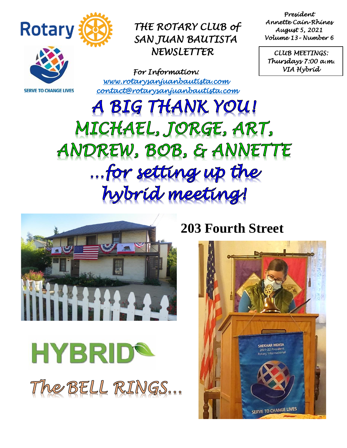

**SERVE TO CHANGE LIVES** 

*THE ROTARY CLUB of SAN JUAN BAUTISTA NEWSLETTER* 

*For Information: [www.rotarysanjuanbautista.com](http://www.rotarysanjuanbautista.com/)  contact@rotarysanjuanbautista.com* 

*President Annette Cain-Rhines August 5, 2021 Volume 13– Number 6* 

*CLUB MEETINGS: Thursdays 7:00 a.m. VIA Hybrid* 

A BIG THANK YOU! MICHAEL, JORGE, ART, ANDREW, BOB, & ANNETTE ...for setting up the hybrid meeting!



HYBRID The BELL RINGS...

# **203 Fourth Street**

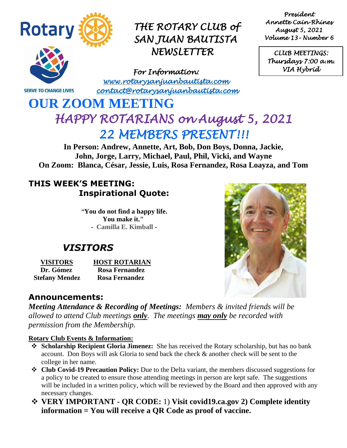

*President Annette Cain-Rhines August 5, 2021 Volume 13– Number 6* 

*CLUB MEETINGS: Thursdays 7:00 a.m. VIA Hybrid* 

**SERVE TO CHANGE LIVES** 

*For Information: [www.rotarysanjuanbautista.com](http://www.rotarysanjuanbautista.com/)  contact@rotarysanjuanbautista.com* 

## **OUR ZOOM MEETING**  *HAPPY ROTARIANS on August 5, 2021 22 MEMBERS PRESENT!!!*

**In Person: Andrew, Annette, Art, Bob, Don Boys, Donna, Jackie, John, Jorge, Larry, Michael, Paul, Phil, Vicki, and Wayne On Zoom: Blanca, César, Jessie, Luis, Rosa Fernandez, Rosa Loayza, and Tom**

### **THIS WEEK'S MEETING: Inspirational Quote:**

*"***You do not find a happy life. You make it." - Camilla E. Kimball -**

### *VISITORS*

 **Stefany Mendez Rosa Fernandez** 

 **VISITORS HOST ROTARIAN Dr. Gómez Rosa Fernandez**

### **Announcements:**

*Meeting Attendance & Recording of Meetings: Members & invited friends will be allowed to attend Club meetings only. The meetings may only be recorded with permission from the Membership.*

#### **Rotary Club Events & Information:**

- ❖ **Scholarship Recipient Gloria Jimenez:** She has received the Rotary scholarship, but has no bank account. Don Boys will ask Gloria to send back the check & another check will be sent to the college in her name.
- ❖ **Club Covid-19 Precaution Policy:** Due to the Delta variant, the members discussed suggestions for a policy to be created to ensure those attending meetings in person are kept safe. The suggestions will be included in a written policy, which will be reviewed by the Board and then approved with any necessary changes.
- ❖ **VERY IMPORTANT - QR CODE:** 1) **Visit covid19.ca.gov 2) Complete identity information = You will receive a QR Code as proof of vaccine.**

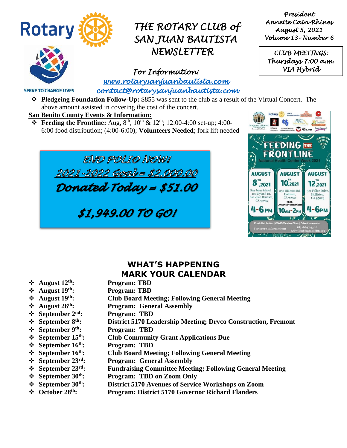

*President Annette Cain-Rhines August 5, 2021 Volume 13– Number 6* 

*CLUB MEETINGS: Thursdays 7:00 a.m. VIA Hybrid* 

*For Information: [www.rotarysanjuanbautista.com](http://www.rotarysanjuanbautista.com/)  contact@rotarysanjuanbautista.com* 

**SERVE TO CHANGE LIVES** 

❖ **Pledgeing Foundation Follow-Up:** \$855 was sent to the club as a result of the Virtual Concert. The above amount assisted in covering the cost of the concert.

#### **San Benito County Events & Information:**

**❖ Feeding the Frontline:** Aug,  $8<sup>th</sup>$ ,  $10<sup>th</sup>$  &  $12<sup>th</sup>$ ;  $12:00-4:00$  set-up;  $4:00-$ 6:00 food distribution; (4:00-6:00); **Volunteers Needed**; fork lift needed





#### **WHAT'S HAPPENING MARK YOUR CALENDAR**

**th: District 5170 Leadership Meeting; Dryco Construction, Fremont**

- ❖ **August 12th: Program: TBD**
- ❖ **August 19th: Program: TBD**
- ❖ **August 19th: Club Board Meeting; Following General Meeting**
- ❖ **August 26th: Program: General Assembly**
- ❖ **September 2 nd: Program: TBD**
- ❖ **September 8**
- ❖ **September 9**
- **th: Program: TBD** ❖ **September 15th: Club Community Grant Applications Due**
- 
- ❖ **September 16th: Program: TBD**
- ❖ **September 16th: Club Board Meeting; Following General Meeting**
- ❖ **September 23 Program: General Assembly**
- ❖ **September 23rd: Fundraising Committee Meeting; Following General Meeting**
- ❖ **September 30th: Program: TBD on Zoom Only**
- **❖** September 30<sup>th</sup>: District 5170 Avenues of Service Workshops on Zoom<br>❖ October 28<sup>th</sup>: Program: District 5170 Governor Richard Flanders
- ❖ **October 28th: Program: District 5170 Governor Richard Flanders**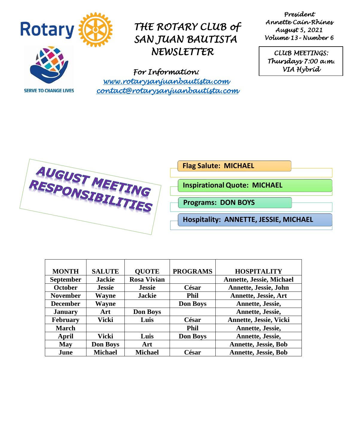

*For Information: [www.rotarysanjuanbautista.com](http://www.rotarysanjuanbautista.com/)  contact@rotarysanjuanbautista.com* 

*President Annette Cain-Rhines August 5, 2021 Volume 13– Number 6* 

*CLUB MEETINGS: Thursdays 7:00 a.m. VIA Hybrid* 

**SERVE TO CHANGE LIVES** 

AUGUST MEETING **Flag Salute: MICHAEL InspirationalQuote: MICHAEL Programs: DON BOYS Hospitality: ANNETTE, JESSIE, MICHAEL**

| <b>MONTH</b>     | <b>SALUTE</b>   | <b>QUOTE</b>       | <b>PROGRAMS</b> | <b>HOSPITALITY</b>              |
|------------------|-----------------|--------------------|-----------------|---------------------------------|
| <b>September</b> | <b>Jackie</b>   | <b>Rosa Vivian</b> |                 | <b>Annette, Jessie, Michael</b> |
| <b>October</b>   | <b>Jessie</b>   | <b>Jessie</b>      | César           | <b>Annette, Jessie, John</b>    |
| <b>November</b>  | <b>Wayne</b>    | <b>Jackie</b>      | <b>Phil</b>     | <b>Annette, Jessie, Art</b>     |
| <b>December</b>  | Wayne           |                    | <b>Don Boys</b> | Annette, Jessie,                |
| <b>January</b>   | Art             | <b>Don Boys</b>    |                 | Annette, Jessie,                |
| <b>February</b>  | <b>Vicki</b>    | Luis               | César           | Annette, Jessie, Vicki          |
| <b>March</b>     |                 |                    | <b>Phil</b>     | Annette, Jessie,                |
| April            | <b>Vicki</b>    | Luis               | <b>Don Boys</b> | Annette, Jessie,                |
| <b>May</b>       | <b>Don Boys</b> | Art                |                 | <b>Annette, Jessie, Bob</b>     |
| June             | <b>Michael</b>  | <b>Michael</b>     | César           | <b>Annette, Jessie, Bob</b>     |